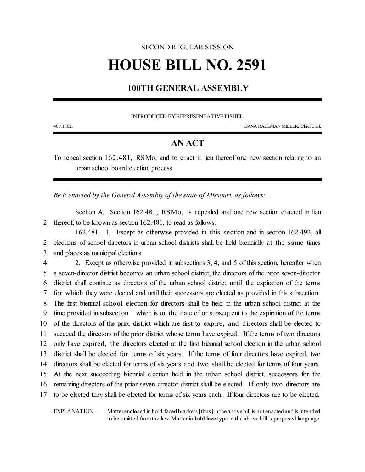# SECOND REGULAR SESSION **HOUSE BILL NO. 2591**

## **100TH GENERAL ASSEMBLY**

INTRODUCED BY REPRESENTATIVE FISHEL.

4018H.02I DANA RADEMAN MILLER, ChiefClerk

## **AN ACT**

To repeal section 162.481, RSMo, and to enact in lieu thereof one new section relating to an urban school board election process.

*Be it enacted by the General Assembly of the state of Missouri, as follows:*

Section A. Section 162.481, RSMo, is repealed and one new section enacted in lieu 2 thereof, to be known as section 162.481, to read as follows:

162.481. 1. Except as otherwise provided in this section and in section 162.492, all 2 elections of school directors in urban school districts shall be held biennially at the same times 3 and places as municipal elections.

 2. Except as otherwise provided in subsections 3, 4, and 5 of this section, hereafter when a seven-director district becomes an urban school district, the directors of the prior seven-director district shall continue as directors of the urban school district until the expiration of the terms for which they were elected and until their successors are elected as provided in this subsection. The first biennial school election for directors shall be held in the urban school district at the time provided in subsection 1 which is on the date of or subsequent to the expiration of the terms of the directors of the prior district which are first to expire, and directors shall be elected to succeed the directors of the prior district whose terms have expired. If the terms of two directors only have expired, the directors elected at the first biennial school election in the urban school district shall be elected for terms of six years. If the terms of four directors have expired, two directors shall be elected for terms of six years and two shall be elected for terms of four years. At the next succeeding biennial election held in the urban school district, successors for the remaining directors of the prior seven-director district shall be elected. If only two directors are to be elected they shall be elected for terms of six years each. If four directors are to be elected,

EXPLANATION — Matter enclosed in bold-faced brackets **[**thus**]**in the above bill is not enacted and is intended to be omitted fromthe law. Matter in **bold-face** type in the above bill is proposed language.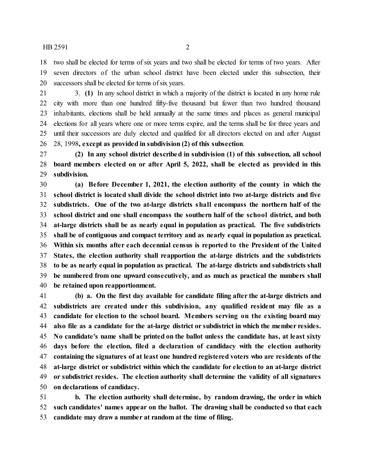HB 2591 2

 two shall be elected for terms of six years and two shall be elected for terms of two years. After seven directors of the urban school district have been elected under this subsection, their successors shall be elected for terms of six years.

 3. **(1)** In any school district in which a majority of the district is located in any home rule city with more than one hundred fifty-five thousand but fewer than two hundred thousand inhabitants, elections shall be held annually at the same times and places as general municipal elections for all years where one or more terms expire, and the terms shall be for three years and until their successors are duly elected and qualified for all directors elected on and after August 28, 1998**, except as provided in subdivision (2) of this subsection**.

 **(2) In any school district described in subdivision (1) of this subsection, all school board members elected on or after April 5, 2022, shall be elected as provided in this subdivision.**

 **(a) Before December 1, 2021, the election authority of the county in which the school district is located shall divide the school district into two at-large districts and five subdistricts. One of the two at-large districts shall encompass the northern half of the school district and one shall encompass the southern half of the school district, and both at-large districts shall be as nearly equal in population as practical. The five subdistricts shall be of contiguous and compact territory and as nearly equal in population as practical. Within six months after each decennial census is reported to the President of the United States, the election authority shall reapportion the at-large districts and the subdistricts to be as nearly equal in population as practical. The at-large districts and subdistricts shall be numbered from one upward consecutively, and as much as practical the numbers shall be retained upon reapportionment.**

 **(b) a. On the first day available for candidate filing after the at-large districts and subdistricts are created under this subdivision, any qualified resident may file as a candidate for election to the school board. Members serving on the existing board may also file as a candidate for the at-large district or subdistrict in which the member resides. No candidate's name shall be printed on the ballot unless the candidate has, at least sixty days before the election, filed a declaration of candidacy with the election authority containing the signatures of at least one hundred registered voters who are residents ofthe at-large district or subdistrict within which the candidate for election to an at-large district or subdistrict resides. The election authority shall determine the validity of all signatures on declarations of candidacy.**

 **b. The election authority shall determine, by random drawing, the order in which such candidates' names appear on the ballot. The drawing shall be conducted so that each candidate may draw a number at random at the time of filing.**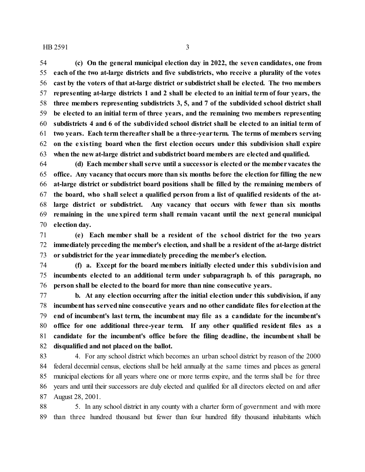#### $HB 2591$  3

 **(c) On the general municipal election day in 2022, the seven candidates, one from each of the two at-large districts and five subdistricts, who receive a plurality of the votes cast by the voters of that at-large district or subdistrict shall be elected. The two members representing at-large districts 1 and 2 shall be elected to an initial term of four years, the three members representing subdistricts 3, 5, and 7 of the subdivided school district shall be elected to an initial term of three years, and the remaining two members representing subdistricts 4 and 6 of the subdivided school district shall be elected to an initial term of two years. Each term thereafter shall be a three-year term. The terms of members serving on the existing board when the first election occurs under this subdivision shall expire when the new at-large district and subdistrict board members are elected and qualified.**

 **(d) Each member shall serve until a successor is elected or the membervacates the office. Any vacancy that occurs more than six months before the election for filling the new at-large district or subdistrict board positions shall be filled by the remaining members of the board, who shall select a qualified person from a list of qualified residents of the at- large district or subdistrict. Any vacancy that occurs with fewer than six months remaining in the unexpired term shall remain vacant until the next general municipal election day.**

 **(e) Each member shall be a resident of the school district for the two years immediately preceding the member's election, and shall be a resident ofthe at-large district or subdistrict for the year immediately preceding the member's election.**

 **(f) a. Except for the board members initially elected under this subdivision and incumbents elected to an additional term under subparagraph b. of this paragraph, no person shall be elected to the board for more than nine consecutive years.**

 **b. At any election occurring after the initial election under this subdivision, if any incumbent has servednine consecutive years and no other candidate files for electionatthe end of incumbent's last term, the incumbent may file as a candidate for the incumbent's office for one additional three-year term. If any other qualified resident files as a candidate for the incumbent's office before the filing deadline, the incumbent shall be disqualified and not placed on the ballot.**

 4. For any school district which becomes an urban school district by reason of the 2000 federal decennial census, elections shall be held annually at the same times and places as general municipal elections for all years where one or more terms expire, and the terms shall be for three years and until their successors are duly elected and qualified for all directors elected on and after August 28, 2001.

 5. In any school district in any county with a charter form of government and with more than three hundred thousand but fewer than four hundred fifty thousand inhabitants which